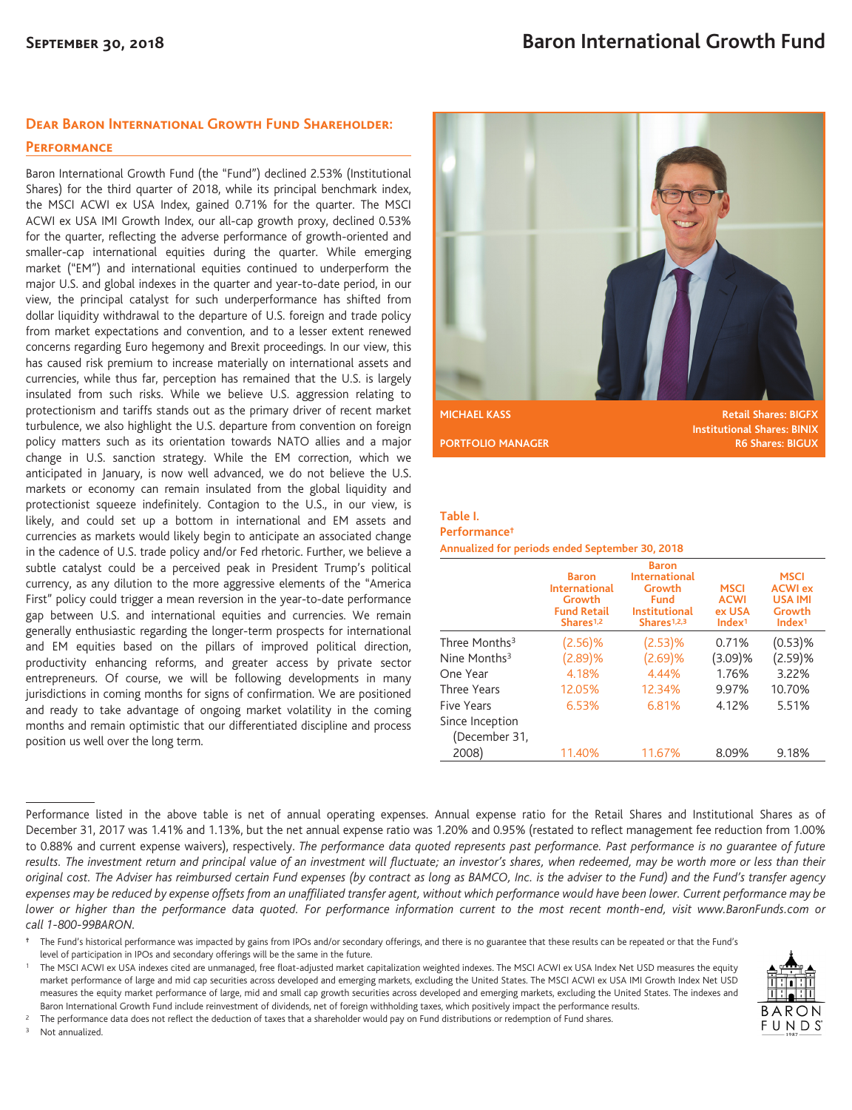## **Dear Baron International Growth Fund Shareholder:**

## **Performance**

Baron International Growth Fund (the "Fund") declined 2.53% (Institutional Shares) for the third quarter of 2018, while its principal benchmark index, the MSCI ACWI ex USA Index, gained 0.71% for the quarter. The MSCI ACWI ex USA IMI Growth Index, our all-cap growth proxy, declined 0.53% for the quarter, reflecting the adverse performance of growth-oriented and smaller-cap international equities during the quarter. While emerging market ("EM") and international equities continued to underperform the major U.S. and global indexes in the quarter and year-to-date period, in our view, the principal catalyst for such underperformance has shifted from dollar liquidity withdrawal to the departure of U.S. foreign and trade policy from market expectations and convention, and to a lesser extent renewed concerns regarding Euro hegemony and Brexit proceedings. In our view, this has caused risk premium to increase materially on international assets and currencies, while thus far, perception has remained that the U.S. is largely insulated from such risks. While we believe U.S. aggression relating to protectionism and tariffs stands out as the primary driver of recent market turbulence, we also highlight the U.S. departure from convention on foreign policy matters such as its orientation towards NATO allies and a major change in U.S. sanction strategy. While the EM correction, which we anticipated in January, is now well advanced, we do not believe the U.S. markets or economy can remain insulated from the global liquidity and protectionist squeeze indefinitely. Contagion to the U.S., in our view, is likely, and could set up a bottom in international and EM assets and currencies as markets would likely begin to anticipate an associated change in the cadence of U.S. trade policy and/or Fed rhetoric. Further, we believe a subtle catalyst could be a perceived peak in President Trump's political currency, as any dilution to the more aggressive elements of the "America First" policy could trigger a mean reversion in the year-to-date performance gap between U.S. and international equities and currencies. We remain generally enthusiastic regarding the longer-term prospects for international and EM equities based on the pillars of improved political direction, productivity enhancing reforms, and greater access by private sector entrepreneurs. Of course, we will be following developments in many jurisdictions in coming months for signs of confirmation. We are positioned and ready to take advantage of ongoing market volatility in the coming months and remain optimistic that our differentiated discipline and process position us well over the long term.



**Institutional Shares: BINIX PORTFOLIO MANAGER R6 Shares: BIGUX** 

## **Table I.**

**Performance† Annualized for periods ended September 30, 2018**

|                                  | <b>Baron</b><br><b>International</b><br>Growth<br><b>Fund Retail</b><br>Shares <sup>1,2</sup> | <b>Baron</b><br><b>International</b><br>Growth<br>Fund<br>Institutional<br>Shares <sup>1,2,3</sup> | <b>MSCI</b><br><b>ACWI</b><br>ex USA<br>Index <sup>1</sup> | MSCI<br><b>ACWI</b> ex<br><b>USA IMI</b><br>Growth<br>Index <sup>1</sup> |
|----------------------------------|-----------------------------------------------------------------------------------------------|----------------------------------------------------------------------------------------------------|------------------------------------------------------------|--------------------------------------------------------------------------|
| Three Months <sup>3</sup>        | $(2.56)$ %                                                                                    | $(2.53)$ %                                                                                         | 0.71%                                                      | $(0.53)$ %                                                               |
| Nine Months $3$                  | (2.89)%                                                                                       | (2.69)%                                                                                            | $(3.09)$ %                                                 | (2.59)%                                                                  |
| One Year                         | 4.18%                                                                                         | 4.44%                                                                                              | 1.76%                                                      | 3.22%                                                                    |
| <b>Three Years</b>               | 12.05%                                                                                        | 12.34%                                                                                             | 9.97%                                                      | 10.70%                                                                   |
| Five Years                       | 6.53%                                                                                         | 6.81%                                                                                              | 4.12%                                                      | 5.51%                                                                    |
| Since Inception<br>(December 31, |                                                                                               |                                                                                                    |                                                            |                                                                          |
| 2008)                            | 11.40%                                                                                        | 11.67%                                                                                             | 8.09%                                                      | 9.18%                                                                    |

Performance listed in the above table is net of annual operating expenses. Annual expense ratio for the Retail Shares and Institutional Shares as of December 31, 2017 was 1.41% and 1.13%, but the net annual expense ratio was 1.20% and 0.95% (restated to reflect management fee reduction from 1.00% to 0.88% and current expense waivers), respectively. *The performance data quoted represents past performance. Past performance is no guarantee of future results. The investment return and principal value of an investment will fluctuate; an investor's shares, when redeemed, may be worth more or less than their original cost. The Adviser has reimbursed certain Fund expenses (by contract as long as BAMCO, Inc. is the adviser to the Fund) and the Fund's transfer agency expenses may be reduced by expense offsets from an unaffiliated transfer agent, without which performance would have been lower. Current performance may be lower or higher than the performance data quoted. For performance information current to the most recent month-end, visit www.BaronFunds.com or call 1-800-99BARON.*

**†** The Fund's historical performance was impacted by gains from IPOs and/or secondary offerings, and there is no guarantee that these results can be repeated or that the Fund's level of participation in IPOs and secondary offerings will be the same in the future.

<sup>2</sup> The performance data does not reflect the deduction of taxes that a shareholder would pay on Fund distributions or redemption of Fund shares.

<sup>3</sup> Not annualized.



<sup>1</sup> The MSCI ACWI ex USA indexes cited are unmanaged, free float-adjusted market capitalization weighted indexes. The MSCI ACWI ex USA Index Net USD measures the equity market performance of large and mid cap securities across developed and emerging markets, excluding the United States. The MSCI ACWI ex USA IMI Growth Index Net USD measures the equity market performance of large, mid and small cap growth securities across developed and emerging markets, excluding the United States. The indexes and Baron International Growth Fund include reinvestment of dividends, net of foreign withholding taxes, which positively impact the performance results.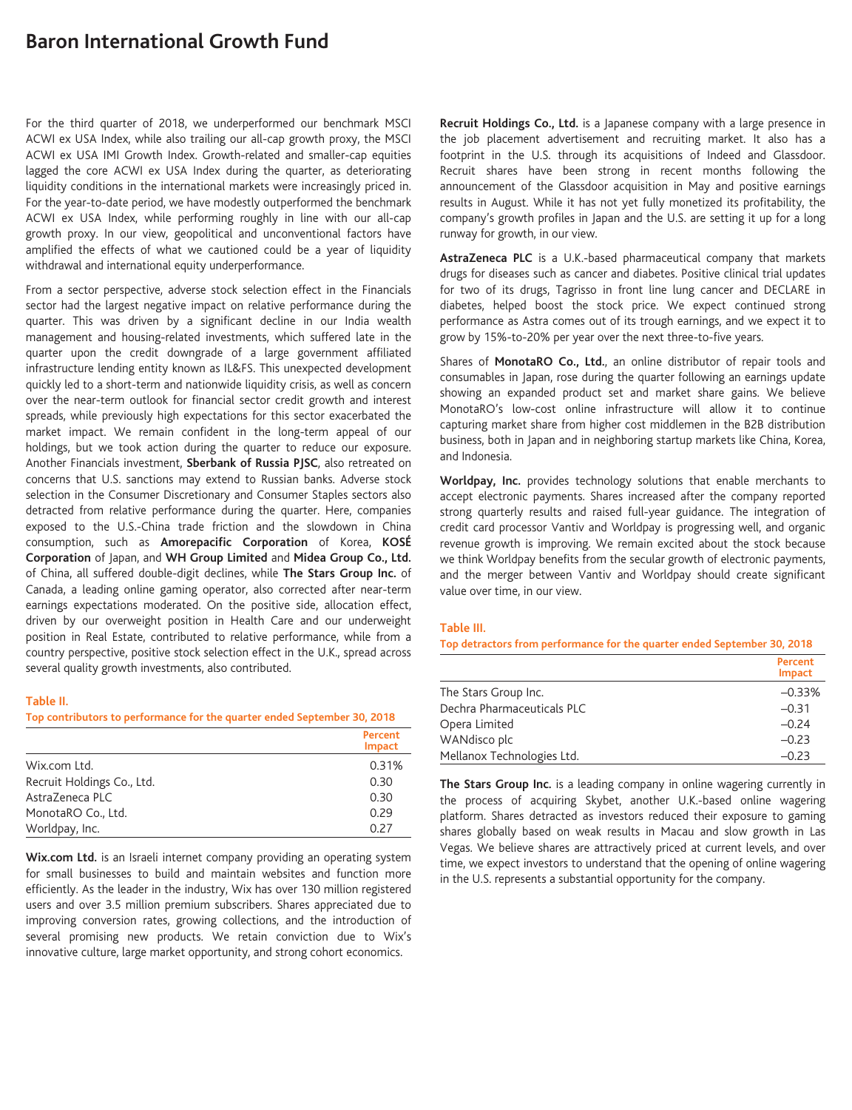# **Baron International Growth Fund**

For the third quarter of 2018, we underperformed our benchmark MSCI ACWI ex USA Index, while also trailing our all-cap growth proxy, the MSCI ACWI ex USA IMI Growth Index. Growth-related and smaller-cap equities lagged the core ACWI ex USA Index during the quarter, as deteriorating liquidity conditions in the international markets were increasingly priced in. For the year-to-date period, we have modestly outperformed the benchmark ACWI ex USA Index, while performing roughly in line with our all-cap growth proxy. In our view, geopolitical and unconventional factors have amplified the effects of what we cautioned could be a year of liquidity withdrawal and international equity underperformance.

From a sector perspective, adverse stock selection effect in the Financials sector had the largest negative impact on relative performance during the quarter. This was driven by a significant decline in our India wealth management and housing-related investments, which suffered late in the quarter upon the credit downgrade of a large government affiliated infrastructure lending entity known as IL&FS. This unexpected development quickly led to a short-term and nationwide liquidity crisis, as well as concern over the near-term outlook for financial sector credit growth and interest spreads, while previously high expectations for this sector exacerbated the market impact. We remain confident in the long-term appeal of our holdings, but we took action during the quarter to reduce our exposure. Another Financials investment, **Sberbank of Russia PJSC**, also retreated on concerns that U.S. sanctions may extend to Russian banks. Adverse stock selection in the Consumer Discretionary and Consumer Staples sectors also detracted from relative performance during the quarter. Here, companies exposed to the U.S.-China trade friction and the slowdown in China consumption, such as **Amorepacific Corporation** of Korea, **KOSÉ Corporation** of Japan, and **WH Group Limited** and **Midea Group Co., Ltd.** of China, all suffered double-digit declines, while **The Stars Group Inc.** of Canada, a leading online gaming operator, also corrected after near-term earnings expectations moderated. On the positive side, allocation effect, driven by our overweight position in Health Care and our underweight position in Real Estate, contributed to relative performance, while from a country perspective, positive stock selection effect in the U.K., spread across several quality growth investments, also contributed.

#### **Table II.**

**Top contributors to performance for the quarter ended September 30, 2018**

|                            | Percent<br><b>Impact</b> |
|----------------------------|--------------------------|
| Wix.com Ltd.               | 0.31%                    |
| Recruit Holdings Co., Ltd. | 0.30                     |
| AstraZeneca PLC            | 0.30                     |
| MonotaRO Co., Ltd.         | 0.29                     |
| Worldpay, Inc.             | 0.27                     |

**Wix.com Ltd.** is an Israeli internet company providing an operating system for small businesses to build and maintain websites and function more efficiently. As the leader in the industry, Wix has over 130 million registered users and over 3.5 million premium subscribers. Shares appreciated due to improving conversion rates, growing collections, and the introduction of several promising new products. We retain conviction due to Wix's innovative culture, large market opportunity, and strong cohort economics.

**Recruit Holdings Co., Ltd.** is a Japanese company with a large presence in the job placement advertisement and recruiting market. It also has a footprint in the U.S. through its acquisitions of Indeed and Glassdoor. Recruit shares have been strong in recent months following the announcement of the Glassdoor acquisition in May and positive earnings results in August. While it has not yet fully monetized its profitability, the company's growth profiles in Japan and the U.S. are setting it up for a long runway for growth, in our view.

**AstraZeneca PLC** is a U.K.-based pharmaceutical company that markets drugs for diseases such as cancer and diabetes. Positive clinical trial updates for two of its drugs, Tagrisso in front line lung cancer and DECLARE in diabetes, helped boost the stock price. We expect continued strong performance as Astra comes out of its trough earnings, and we expect it to grow by 15%-to-20% per year over the next three-to-five years.

Shares of **MonotaRO Co., Ltd.**, an online distributor of repair tools and consumables in Japan, rose during the quarter following an earnings update showing an expanded product set and market share gains. We believe MonotaRO's low-cost online infrastructure will allow it to continue capturing market share from higher cost middlemen in the B2B distribution business, both in Japan and in neighboring startup markets like China, Korea, and Indonesia.

**Worldpay, Inc.** provides technology solutions that enable merchants to accept electronic payments. Shares increased after the company reported strong quarterly results and raised full-year guidance. The integration of credit card processor Vantiv and Worldpay is progressing well, and organic revenue growth is improving. We remain excited about the stock because we think Worldpay benefits from the secular growth of electronic payments, and the merger between Vantiv and Worldpay should create significant value over time, in our view.

## **Table III.**

**Top detractors from performance for the quarter ended September 30, 2018**

|                            | Percent<br>Impact |
|----------------------------|-------------------|
| The Stars Group Inc.       | $-0.33%$          |
| Dechra Pharmaceuticals PLC | $-0.31$           |
| Opera Limited              | $-0.24$           |
| WANdisco plc               | $-0.23$           |
| Mellanox Technologies Ltd. | $-0.23$           |

**The Stars Group Inc.** is a leading company in online wagering currently in the process of acquiring Skybet, another U.K.-based online wagering platform. Shares detracted as investors reduced their exposure to gaming shares globally based on weak results in Macau and slow growth in Las Vegas. We believe shares are attractively priced at current levels, and over time, we expect investors to understand that the opening of online wagering in the U.S. represents a substantial opportunity for the company.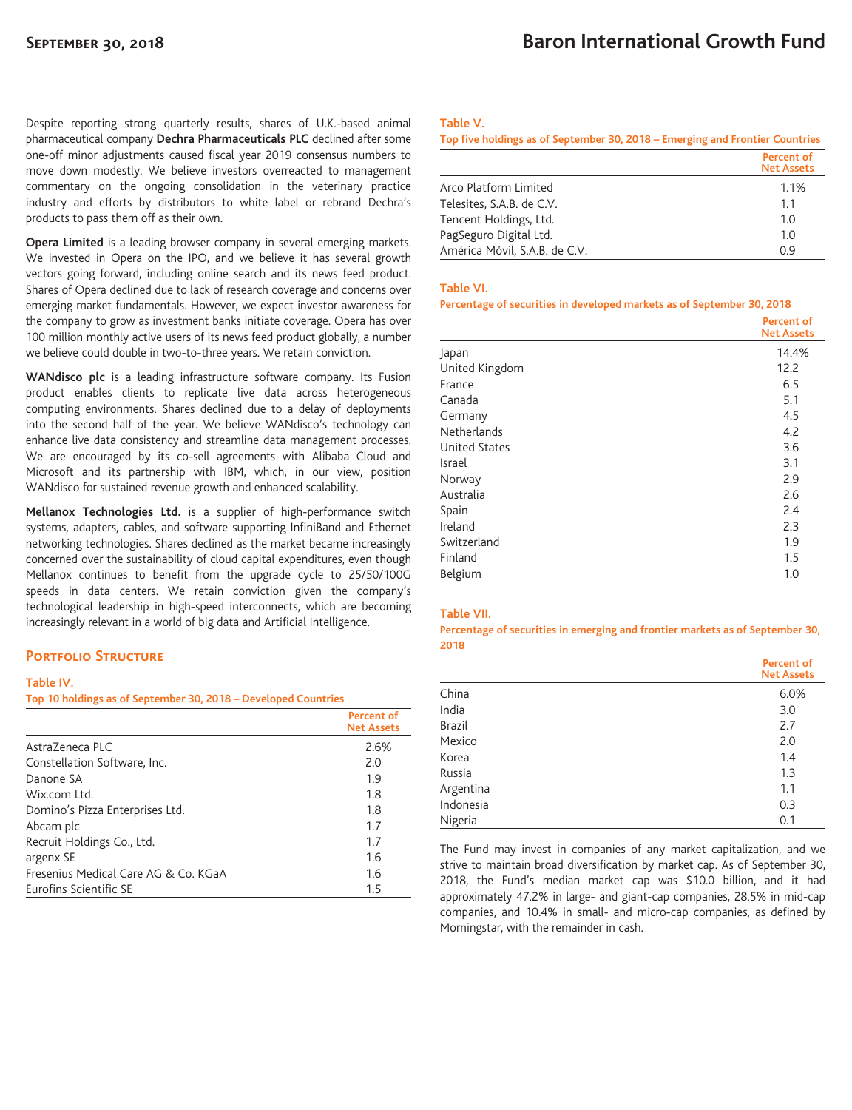Despite reporting strong quarterly results, shares of U.K.-based animal pharmaceutical company **Dechra Pharmaceuticals PLC** declined after some one-off minor adjustments caused fiscal year 2019 consensus numbers to move down modestly. We believe investors overreacted to management commentary on the ongoing consolidation in the veterinary practice industry and efforts by distributors to white label or rebrand Dechra's products to pass them off as their own.

**Opera Limited** is a leading browser company in several emerging markets. We invested in Opera on the IPO, and we believe it has several growth vectors going forward, including online search and its news feed product. Shares of Opera declined due to lack of research coverage and concerns over emerging market fundamentals. However, we expect investor awareness for the company to grow as investment banks initiate coverage. Opera has over 100 million monthly active users of its news feed product globally, a number we believe could double in two-to-three years. We retain conviction.

**WANdisco plc** is a leading infrastructure software company. Its Fusion product enables clients to replicate live data across heterogeneous computing environments. Shares declined due to a delay of deployments into the second half of the year. We believe WANdisco's technology can enhance live data consistency and streamline data management processes. We are encouraged by its co-sell agreements with Alibaba Cloud and Microsoft and its partnership with IBM, which, in our view, position WANdisco for sustained revenue growth and enhanced scalability.

**Mellanox Technologies Ltd.** is a supplier of high-performance switch systems, adapters, cables, and software supporting InfiniBand and Ethernet networking technologies. Shares declined as the market became increasingly concerned over the sustainability of cloud capital expenditures, even though Mellanox continues to benefit from the upgrade cycle to 25/50/100G speeds in data centers. We retain conviction given the company's technological leadership in high-speed interconnects, which are becoming increasingly relevant in a world of big data and Artificial Intelligence.

# **Portfolio Structure**

### **Table IV.**

**Top 10 holdings as of September 30, 2018 – Developed Countries**

|                                      | Percent of<br><b>Net Assets</b> |
|--------------------------------------|---------------------------------|
| Astra7eneca PLC                      | 2.6%                            |
| Constellation Software, Inc.         | 2.0                             |
| Danone SA                            | 1.9                             |
| Wix.com Ltd.                         | 1.8                             |
| Domino's Pizza Enterprises Ltd.      | 1.8                             |
| Abcam plc                            | 1.7                             |
| Recruit Holdings Co., Ltd.           | 1.7                             |
| argenx SE                            | 1.6                             |
| Fresenius Medical Care AG & Co. KGaA | 1.6                             |
| Eurofins Scientific SE               | 1.5                             |

## **Table V.**

| Top five holdings as of September 30, 2018 – Emerging and Frontier Countries |                                 |
|------------------------------------------------------------------------------|---------------------------------|
|                                                                              | Percent of<br><b>Net Assets</b> |
| Arco Platform Limited                                                        | 1.1%                            |
| Telesites, S.A.B. de C.V.                                                    | 1.1                             |
| Tencent Holdings, Ltd.                                                       | 1.0                             |
| PagSeguro Digital Ltd.                                                       | 1.0                             |
| América Móvil, S.A.B. de C.V.                                                | 0.9                             |

#### **Table VI.**

### **Percentage of securities in developed markets as of September 30, 2018**

|                      | <b>Percent of</b><br><b>Net Assets</b> |
|----------------------|----------------------------------------|
| Japan                | 14.4%                                  |
| United Kingdom       | 12.2                                   |
| France               | 6.5                                    |
| Canada               | 5.1                                    |
| Germany              | 4.5                                    |
| Netherlands          | 4.2                                    |
| <b>United States</b> | 3.6                                    |
| Israel               | 3.1                                    |
| Norway               | 2.9                                    |
| Australia            | 2.6                                    |
| Spain                | 2.4                                    |
| Ireland              | 2.3                                    |
| Switzerland          | 1.9                                    |
| Finland              | 1.5                                    |
| Belgium              | 1.0                                    |

## **Table VII.**

**Percentage of securities in emerging and frontier markets as of September 30, 2018**

|           | <b>Percent of</b><br><b>Net Assets</b> |
|-----------|----------------------------------------|
| China     | 6.0%                                   |
| India     | 3.0                                    |
| Brazil    | 2.7                                    |
| Mexico    | 2.0                                    |
| Korea     | 1.4                                    |
| Russia    | 1.3                                    |
| Argentina | 1.1                                    |
| Indonesia | 0.3                                    |
| Nigeria   | 0.1                                    |

The Fund may invest in companies of any market capitalization, and we strive to maintain broad diversification by market cap. As of September 30, 2018, the Fund's median market cap was \$10.0 billion, and it had approximately 47.2% in large- and giant-cap companies, 28.5% in mid-cap companies, and 10.4% in small- and micro-cap companies, as defined by Morningstar, with the remainder in cash.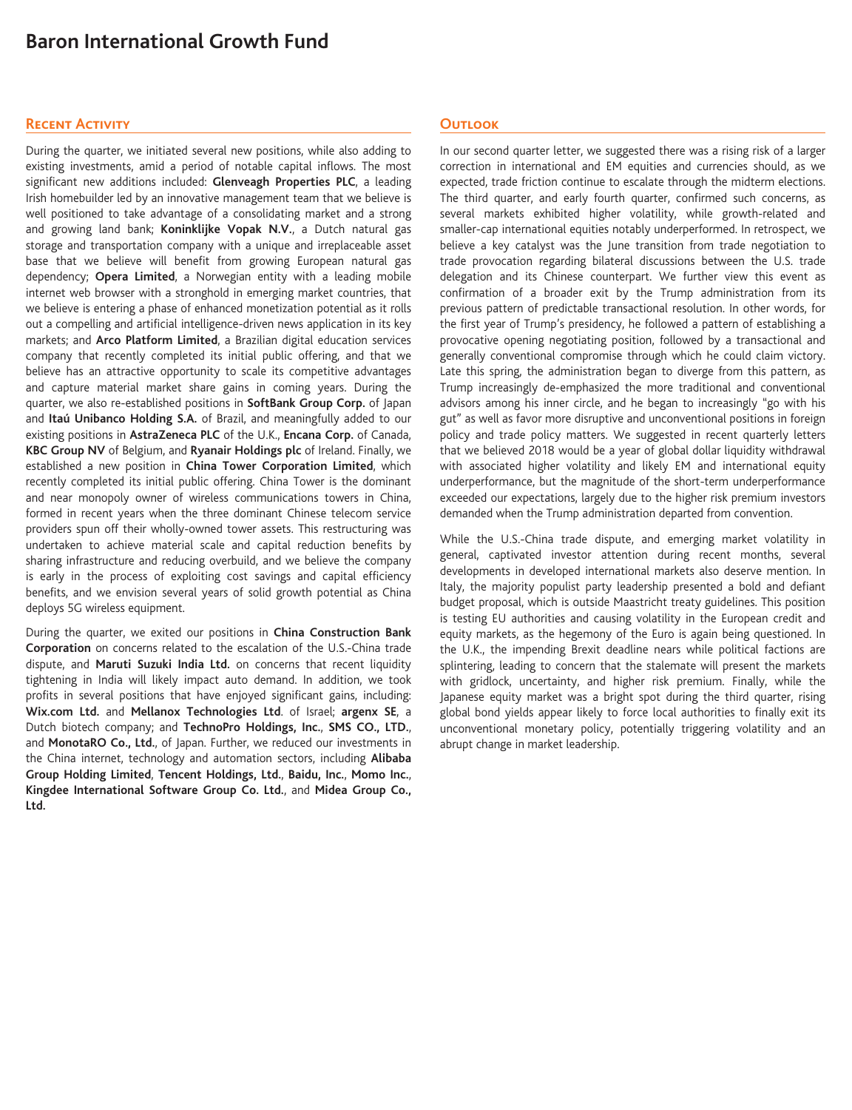# **Baron International Growth Fund**

## **Recent Activity**

During the quarter, we initiated several new positions, while also adding to existing investments, amid a period of notable capital inflows. The most significant new additions included: **Glenveagh Properties PLC**, a leading Irish homebuilder led by an innovative management team that we believe is well positioned to take advantage of a consolidating market and a strong and growing land bank; **Koninklijke Vopak N.V.**, a Dutch natural gas storage and transportation company with a unique and irreplaceable asset base that we believe will benefit from growing European natural gas dependency; **Opera Limited**, a Norwegian entity with a leading mobile internet web browser with a stronghold in emerging market countries, that we believe is entering a phase of enhanced monetization potential as it rolls out a compelling and artificial intelligence-driven news application in its key markets; and **Arco Platform Limited**, a Brazilian digital education services company that recently completed its initial public offering, and that we believe has an attractive opportunity to scale its competitive advantages and capture material market share gains in coming years. During the quarter, we also re-established positions in **SoftBank Group Corp.** of Japan and **Itaú Unibanco Holding S.A.** of Brazil, and meaningfully added to our existing positions in **AstraZeneca PLC** of the U.K., **Encana Corp.** of Canada, **KBC Group NV** of Belgium, and **Ryanair Holdings plc** of Ireland. Finally, we established a new position in **China Tower Corporation Limited**, which recently completed its initial public offering. China Tower is the dominant and near monopoly owner of wireless communications towers in China, formed in recent years when the three dominant Chinese telecom service providers spun off their wholly-owned tower assets. This restructuring was undertaken to achieve material scale and capital reduction benefits by sharing infrastructure and reducing overbuild, and we believe the company is early in the process of exploiting cost savings and capital efficiency benefits, and we envision several years of solid growth potential as China deploys 5G wireless equipment.

During the quarter, we exited our positions in **China Construction Bank Corporation** on concerns related to the escalation of the U.S.-China trade dispute, and **Maruti Suzuki India Ltd.** on concerns that recent liquidity tightening in India will likely impact auto demand. In addition, we took profits in several positions that have enjoyed significant gains, including: **Wix.com Ltd.** and **Mellanox Technologies Ltd**. of Israel; **argenx SE**, a Dutch biotech company; and **TechnoPro Holdings, Inc.**, **SMS CO., LTD.**, and **MonotaRO Co., Ltd.**, of Japan. Further, we reduced our investments in the China internet, technology and automation sectors, including **Alibaba Group Holding Limited**, **Tencent Holdings, Ltd.**, **Baidu, Inc.**, **Momo Inc.**, **Kingdee International Software Group Co. Ltd.**, and **Midea Group Co., Ltd.**

# **Outlook**

In our second quarter letter, we suggested there was a rising risk of a larger correction in international and EM equities and currencies should, as we expected, trade friction continue to escalate through the midterm elections. The third quarter, and early fourth quarter, confirmed such concerns, as several markets exhibited higher volatility, while growth-related and smaller-cap international equities notably underperformed. In retrospect, we believe a key catalyst was the June transition from trade negotiation to trade provocation regarding bilateral discussions between the U.S. trade delegation and its Chinese counterpart. We further view this event as confirmation of a broader exit by the Trump administration from its previous pattern of predictable transactional resolution. In other words, for the first year of Trump's presidency, he followed a pattern of establishing a provocative opening negotiating position, followed by a transactional and generally conventional compromise through which he could claim victory. Late this spring, the administration began to diverge from this pattern, as Trump increasingly de-emphasized the more traditional and conventional advisors among his inner circle, and he began to increasingly "go with his gut" as well as favor more disruptive and unconventional positions in foreign policy and trade policy matters. We suggested in recent quarterly letters that we believed 2018 would be a year of global dollar liquidity withdrawal with associated higher volatility and likely EM and international equity underperformance, but the magnitude of the short-term underperformance exceeded our expectations, largely due to the higher risk premium investors demanded when the Trump administration departed from convention.

While the U.S.-China trade dispute, and emerging market volatility in general, captivated investor attention during recent months, several developments in developed international markets also deserve mention. In Italy, the majority populist party leadership presented a bold and defiant budget proposal, which is outside Maastricht treaty guidelines. This position is testing EU authorities and causing volatility in the European credit and equity markets, as the hegemony of the Euro is again being questioned. In the U.K., the impending Brexit deadline nears while political factions are splintering, leading to concern that the stalemate will present the markets with gridlock, uncertainty, and higher risk premium. Finally, while the Japanese equity market was a bright spot during the third quarter, rising global bond yields appear likely to force local authorities to finally exit its unconventional monetary policy, potentially triggering volatility and an abrupt change in market leadership.